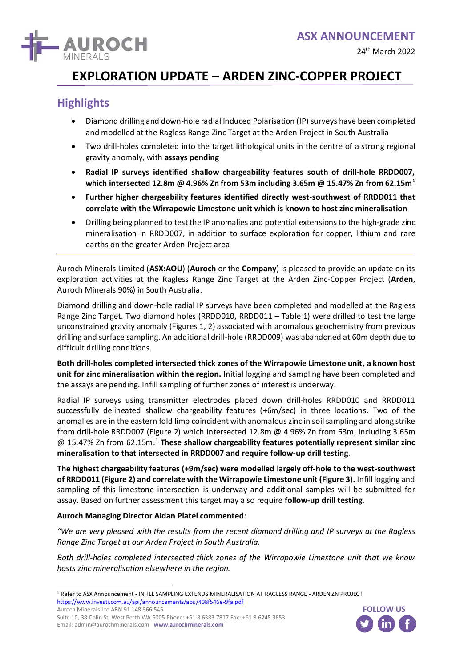

# **EXPLORATION UPDATE – ARDEN ZINC-COPPER PROJECT**

## **Highlights**

- Diamond drilling and down-hole radial Induced Polarisation (IP) surveys have been completed and modelled at the Ragless Range Zinc Target at the Arden Project in South Australia
- Two drill-holes completed into the target lithological units in the centre of a strong regional gravity anomaly, with **assays pending**
- **Radial IP surveys identified shallow chargeability features south of drill-hole RRDD007, which intersected 12.8m @ 4.96% Zn from 53m including 3.65m @ 15.47% Zn from 62.15m<sup>1</sup>**
- **Further higher chargeability features identified directly west-southwest of RRDD011 that correlate with the Wirrapowie Limestone unit which is known to host zinc mineralisation**
- Drilling being planned to test the IP anomalies and potential extensions to the high-grade zinc mineralisation in RRDD007, in addition to surface exploration for copper, lithium and rare earths on the greater Arden Project area

Auroch Minerals Limited (**ASX:AOU**) (**Auroch** or the **Company**) is pleased to provide an update on its exploration activities at the Ragless Range Zinc Target at the Arden Zinc-Copper Project (**Arden**, Auroch Minerals 90%) in South Australia.

Diamond drilling and down-hole radial IP surveys have been completed and modelled at the Ragless Range Zinc Target. Two diamond holes (RRDD010, RRDD011 – Table 1) were drilled to test the large unconstrained gravity anomaly (Figures 1, 2) associated with anomalous geochemistry from previous drilling and surface sampling. An additional drill-hole (RRDD009) was abandoned at 60m depth due to difficult drilling conditions.

**Both drill-holes completed intersected thick zones of the Wirrapowie Limestone unit, a known host unit for zinc mineralisation within the region.** Initial logging and sampling have been completed and the assays are pending. Infill sampling of further zones of interest is underway.

Radial IP surveys using transmitter electrodes placed down drill-holes RRDD010 and RRDD011 successfully delineated shallow chargeability features (+6m/sec) in three locations. Two of the anomalies are in the eastern fold limb coincident with anomalous zinc in soil sampling and along strike from drill-hole RRDD007 (Figure 2) which intersected 12.8m @ 4.96% Zn from 53m, including 3.65m @ 15.47% Zn from 62.15m. <sup>1</sup> **These shallow chargeability features potentially represent similar zinc mineralisation to that intersected in RRDD007 and require follow-up drill testing**.

**The highest chargeability features (+9m/sec) were modelled largely off-hole to the west-southwest of RRDD011 (Figure 2) and correlate with the Wirrapowie Limestone unit (Figure 3).** Infill logging and sampling of this limestone intersection is underway and additional samples will be submitted for assay. Based on further assessment this target may also require **follow-up drill testing**.

#### **Auroch Managing Director Aidan Platel commented**:

*"We are very pleased with the results from the recent diamond drilling and IP surveys at the Ragless Range Zinc Target at our Arden Project in South Australia.*  "We are very pleased with the results from the recent Range Zinc Target at our Arden Project in South Austricum<br>Both drill-holes completed intersected thick zones of hosts zinc mineralisation elsewhere in the region.<br><sup>1</sup> R

*Both drill-holes completed intersected thick zones of the Wirrapowie Limestone unit that we know hosts zinc mineralisation elsewhere in the region.* 

Auroch Minerals Ltd ABN 91 148 966 545

Suite 10, 38 Colin St, West Perth WA 6005 Phone: +61 8 6383 7817 Fax: +61 8 6245 9853 Email: admin@aurochminerals.com **www.aurochminerals.com**



<sup>1</sup> Refer to ASX Announcement - INFILL SAMPLING EXTENDS MINERALISATION AT RAGLESS RANGE - ARDEN ZN PROJECT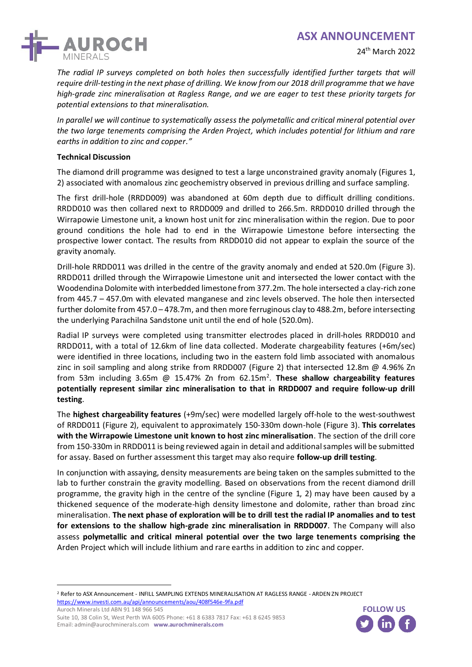

*The radial IP surveys completed on both holes then successfully identified further targets that will require drill-testing in the next phase of drilling. We know from our 2018 drill programme that we have high-grade zinc mineralisation at Ragless Range, and we are eager to test these priority targets for potential extensions to that mineralisation.*

*In parallel we will continue to systematically assess the polymetallic and critical mineral potential over the two large tenements comprising the Arden Project, which includes potential for lithium and rare earths in addition to zinc and copper."*

#### **Technical Discussion**

The diamond drill programme was designed to test a large unconstrained gravity anomaly (Figures 1, 2) associated with anomalous zinc geochemistry observed in previous drilling and surface sampling.

The first drill-hole (RRDD009) was abandoned at 60m depth due to difficult drilling conditions. RRDD010 was then collared next to RRDD009 and drilled to 266.5m. RRDD010 drilled through the Wirrapowie Limestone unit, a known host unit for zinc mineralisation within the region. Due to poor ground conditions the hole had to end in the Wirrapowie Limestone before intersecting the prospective lower contact. The results from RRDD010 did not appear to explain the source of the gravity anomaly.

Drill-hole RRDD011 was drilled in the centre of the gravity anomaly and ended at 520.0m (Figure 3). RRDD011 drilled through the Wirrapowie Limestone unit and intersected the lower contact with the Woodendina Dolomite with interbedded limestone from 377.2m. The hole intersected a clay-rich zone from 445.7 – 457.0m with elevated manganese and zinc levels observed. The hole then intersected further dolomite from 457.0 – 478.7m, and then more ferruginous clay to 488.2m, before intersecting the underlying Parachilna Sandstone unit until the end of hole (520.0m).

Radial IP surveys were completed using transmitter electrodes placed in drill-holes RRDD010 and RRDD011, with a total of 12.6km of line data collected. Moderate chargeability features (+6m/sec) were identified in three locations, including two in the eastern fold limb associated with anomalous zinc in soil sampling and along strike from RRDD007 (Figure 2) that intersected 12.8m @ 4.96% Zn from 53m including 3.65m @ 15.47% Zn from 62.15m<sup>2</sup>. These shallow chargeability features **potentially represent similar zinc mineralisation to that in RRDD007 and require follow-up drill testing**.

The **highest chargeability features** (+9m/sec) were modelled largely off-hole to the west-southwest of RRDD011 (Figure 2), equivalent to approximately 150-330m down-hole (Figure 3). **This correlates with the Wirrapowie Limestone unit known to host zinc mineralisation**. The section of the drill core from 150-330m in RRDD011 is being reviewed again in detail and additional samples will be submitted for assay. Based on further assessment this target may also require **follow-up drill testing**.

In conjunction with assaying, density measurements are being taken on the samples submitted to the lab to further constrain the gravity modelling. Based on observations from the recent diamond drill programme, the gravity high in the centre of the syncline (Figure 1, 2) may have been caused by a thickened sequence of the moderate-high density limestone and dolomite, rather than broad zinc mineralisation. **The next phase of exploration will be to drill test the radial IP anomalies and to test for extensions to the shallow high-grade zinc mineralisation in RRDD007**. The Company will also assess **polymetallic and critical mineral potential over the two large tenements comprising the** Arden Project which will include lithium and rare earths in addition to zinc and copper. **for extensions to the shallow high-grade zinc min**<br>assess **polymetallic and critical mineral potential**<br>Arden Project which will include lithium and rare ear<br><sup>2</sup> Refer to ASX Announcement - INFILL SAMPLING EXTENDS MINERAL

Auroch Minerals Ltd ABN 91 148 966 545



<sup>2</sup> Refer to ASX Announcement - INFILL SAMPLING EXTENDS MINERALISATION AT RAGLESS RANGE - ARDEN ZN PROJECT

Suite 10, 38 Colin St, West Perth WA 6005 Phone: +61 8 6383 7817 Fax: +61 8 6245 9853 Email: admin@aurochminerals.com **www.aurochminerals.com**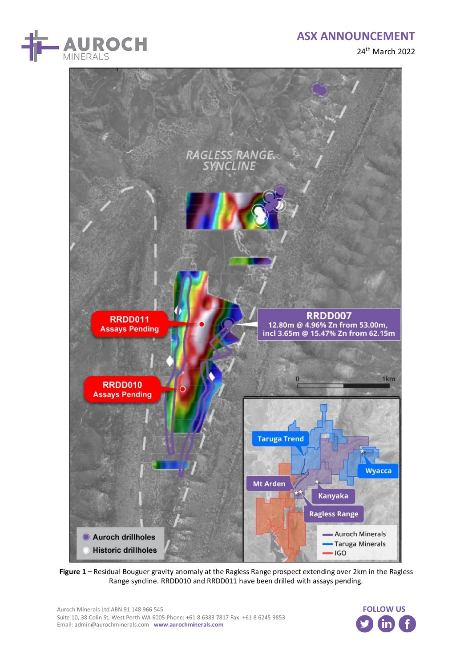





**Figure 1 –** Residual Bouguer gravity anomaly at the Ragless Range prospect extending over 2km in the Ragless

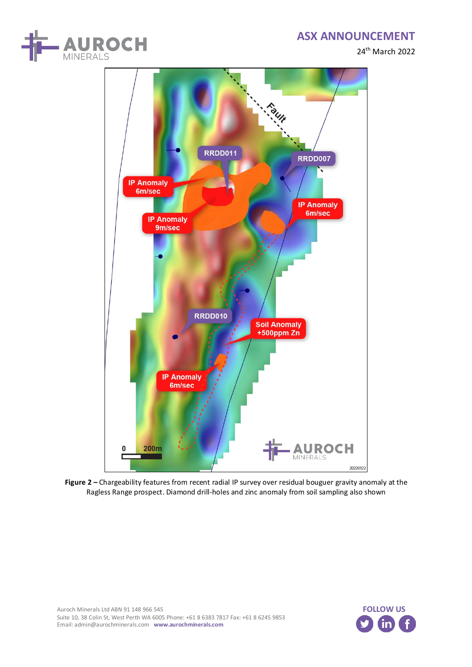24th March 2022





**Figure 2 –** Chargeability features from recent radial IP survey over residual bouguer gravity anomaly at the Ragless Range prospect. Diamond drill-holes and zinc anomaly from soil sampling also shown

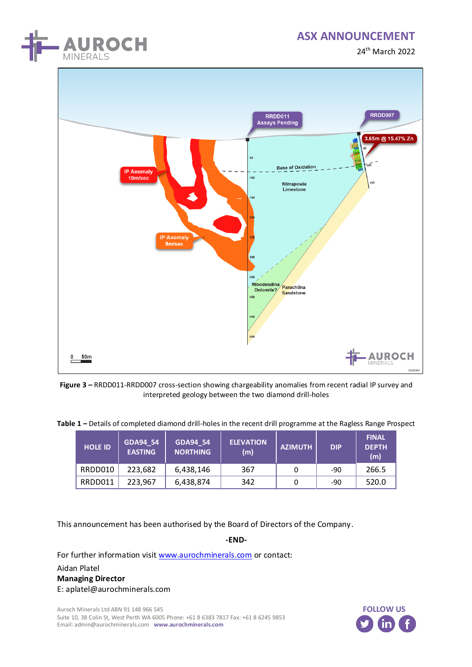

24th March 2022



**Figure 3 –** RRDD011-RRDD007 cross-section showing chargeability anomalies from recent radial IP survey and interpreted geology between the two diamond drill-holes

|  |  |  | Table 1 - Details of completed diamond drill-holes in the recent drill programme at the Ragless Range Prospect |  |  |
|--|--|--|----------------------------------------------------------------------------------------------------------------|--|--|
|--|--|--|----------------------------------------------------------------------------------------------------------------|--|--|

| <b>HOLE ID</b> | <b>GDA94 54</b><br><b>EASTING</b> | GDA94_54<br><b>NORTHING</b> | <b>ELEVATION</b><br>(m) | <b>AZIMUTH</b> | <b>DIP</b> | <b>FINAL</b><br><b>DEPTH</b><br>(m) |
|----------------|-----------------------------------|-----------------------------|-------------------------|----------------|------------|-------------------------------------|
| RRDD010        | 223,682                           | 6,438,146                   | 367                     |                | -90        | 266.5                               |
| RRDD011        | 223,967                           | 6,438,874                   | 342                     |                | -90        | 520.0                               |

This announcement has been authorised by the Board of Directors of the Company.

**-END-**

For further information visi[t www.aurochminerals.com](http://www.aurochminerals.com/) or contact:

Aidan Platel **Managing Director** E: aplatel@aurochminerals.com

Auroch Minerals Ltd ABN 91 148 966 545 Suite 10, 38 Colin St, West Perth WA 6005 Phone: +61 8 6383 7817 Fax: +61 8 6245 9853 Email: admin@aurochminerals.com **www.aurochminerals.com**

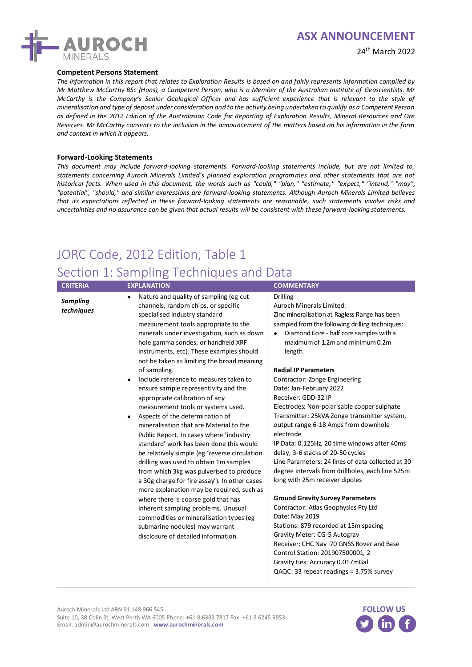

#### 24th March 2022

#### **Competent Persons Statement**

*The information in this report that relates to Exploration Results is based on and fairly represents information compiled by Mr Matthew McCarthy BSc (Hons), a Competent Person, who is a Member of the Australian Institute of Geoscientists. Mr McCarthy is the Company's Senior Geological Officer and has sufficient experience that is relevant to the style of mineralisation and type of deposit under consideration and to the activity being undertaken to qualify as a Competent Person as defined in the 2012 Edition of the Australasian Code for Reporting of Exploration Results, Mineral Resources and Ore Reserves. Mr McCarthy consents to the inclusion in the announcement of the matters based on his information in the form and context in which it appears.*

#### **Forward-Looking Statements**

*This document may include forward-looking statements. Forward-looking statements include, but are not limited to, statements concerning Auroch Minerals Limited's planned exploration programmes and other statements that are not historical facts. When used in this document, the words such as "could," "plan," "estimate," "expect," "intend," "may", "potential", "should," and similar expressions are forward-looking statements. Although Auroch Minerals Limited believes that its expectations reflected in these forward-looking statements are reasonable, such statements involve risks and uncertainties and no assurance can be given that actual results will be consistent with these forward-looking statements.*

# JORC Code, 2012 Edition, Table 1 Section 1: Sampling Techniques and Data

| <b>CRITERIA</b>               | <b>EXPLANATION</b>                                                                                                                                                                                                                                                                                                                                                                                                                                                                                                                                                                                                                                                                                                                                                                                                                                                                                                                                                                                                                                                                                                                                  | <b>COMMENTARY</b>                                                                                                                                                                                                                                                                                                                                                                                                                                                                                                                                                                                                                                                                                                                                                                                                                                                                                                                                                                                                                                         |
|-------------------------------|-----------------------------------------------------------------------------------------------------------------------------------------------------------------------------------------------------------------------------------------------------------------------------------------------------------------------------------------------------------------------------------------------------------------------------------------------------------------------------------------------------------------------------------------------------------------------------------------------------------------------------------------------------------------------------------------------------------------------------------------------------------------------------------------------------------------------------------------------------------------------------------------------------------------------------------------------------------------------------------------------------------------------------------------------------------------------------------------------------------------------------------------------------|-----------------------------------------------------------------------------------------------------------------------------------------------------------------------------------------------------------------------------------------------------------------------------------------------------------------------------------------------------------------------------------------------------------------------------------------------------------------------------------------------------------------------------------------------------------------------------------------------------------------------------------------------------------------------------------------------------------------------------------------------------------------------------------------------------------------------------------------------------------------------------------------------------------------------------------------------------------------------------------------------------------------------------------------------------------|
| <b>Sampling</b><br>techniques | Nature and quality of sampling (eg cut<br>$\bullet$<br>channels, random chips, or specific<br>specialised industry standard<br>measurement tools appropriate to the<br>minerals under investigation, such as down<br>hole gamma sondes, or handheld XRF<br>instruments, etc). These examples should<br>not be taken as limiting the broad meaning<br>of sampling.<br>Include reference to measures taken to<br>ensure sample representivity and the<br>appropriate calibration of any<br>measurement tools or systems used.<br>Aspects of the determination of<br>$\bullet$<br>mineralisation that are Material to the<br>Public Report. In cases where 'industry<br>standard' work has been done this would<br>be relatively simple (eg 'reverse circulation<br>drilling was used to obtain 1m samples<br>from which 3kg was pulverised to produce<br>a 30g charge for fire assay'). In other cases<br>more explanation may be required, such as<br>where there is coarse gold that has<br>inherent sampling problems. Unusual<br>commodities or mineralisation types (eg<br>submarine nodules) may warrant<br>disclosure of detailed information. | <b>Drilling</b><br><b>Auroch Minerals Limited:</b><br>Zinc mineralisation at Ragless Range has been<br>sampled from the following drilling techniques:<br>Diamond Core - half core samples with a<br>maximum of 1.2m and minimum 0.2m<br>length.<br><b>Radial IP Parameters</b><br>Contractor: Zonge Engineering<br>Date: Jan-February 2022<br>Receiver: GDD-32 IP<br>Electrodes: Non-polarisable copper sulphate<br>Transmitter: 25kVA Zonge transmitter system,<br>output range 6-18 Amps from downhole<br>electrode<br>IP Data: 0.125Hz, 20 time windows after 40ms<br>delay, 3-6 stacks of 20-50 cycles<br>Line Parameters: 24 lines of data collected at 30<br>degree intervals from drillholes, each line 525m<br>long with 25m receiver dipoles<br><b>Ground Gravity Survey Parameters</b><br>Contractor: Atlas Geophysics Pty Ltd<br>Date: May 2019<br>Stations: 879 recorded at 15m spacing<br>Gravity Meter: CG-5 Autograv<br>Receiver: CHC Nav i70 GNSS Rover and Base<br>Control Station: 201907500001, 2<br>Gravity ties: Accuracy 0.017mGal |

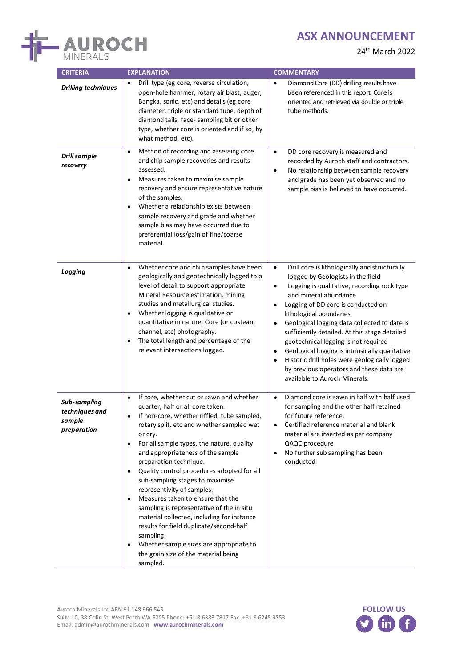

24th March 2022

| <b>CRITERIA</b>                                         | <b>EXPLANATION</b>                                                                                                                                                                                                                                                                                                                                                                                                                                                                                                                                                                                                                                                                                                                                        | <b>COMMENTARY</b>                                                                                                                                                                                                                                                                                                                                                                                                                                                                                                                                                                                                   |  |  |
|---------------------------------------------------------|-----------------------------------------------------------------------------------------------------------------------------------------------------------------------------------------------------------------------------------------------------------------------------------------------------------------------------------------------------------------------------------------------------------------------------------------------------------------------------------------------------------------------------------------------------------------------------------------------------------------------------------------------------------------------------------------------------------------------------------------------------------|---------------------------------------------------------------------------------------------------------------------------------------------------------------------------------------------------------------------------------------------------------------------------------------------------------------------------------------------------------------------------------------------------------------------------------------------------------------------------------------------------------------------------------------------------------------------------------------------------------------------|--|--|
| <b>Drilling techniques</b>                              | Drill type (eg core, reverse circulation,<br>$\bullet$<br>open-hole hammer, rotary air blast, auger,<br>Bangka, sonic, etc) and details (eg core<br>diameter, triple or standard tube, depth of<br>diamond tails, face-sampling bit or other<br>type, whether core is oriented and if so, by<br>what method, etc).                                                                                                                                                                                                                                                                                                                                                                                                                                        | Diamond Core (DD) drilling results have<br>$\bullet$<br>been referenced in this report. Core is<br>oriented and retrieved via double or triple<br>tube methods.                                                                                                                                                                                                                                                                                                                                                                                                                                                     |  |  |
| <b>Drill sample</b><br>recovery                         | Method of recording and assessing core<br>$\bullet$<br>and chip sample recoveries and results<br>assessed.<br>Measures taken to maximise sample<br>$\bullet$<br>recovery and ensure representative nature<br>of the samples.<br>Whether a relationship exists between<br>$\bullet$<br>sample recovery and grade and whether<br>sample bias may have occurred due to<br>preferential loss/gain of fine/coarse<br>material.                                                                                                                                                                                                                                                                                                                                 | $\bullet$<br>DD core recovery is measured and<br>recorded by Auroch staff and contractors.<br>No relationship between sample recovery<br>$\bullet$<br>and grade has been yet observed and no<br>sample bias is believed to have occurred.                                                                                                                                                                                                                                                                                                                                                                           |  |  |
| Logging                                                 | Whether core and chip samples have been<br>$\bullet$<br>geologically and geotechnically logged to a<br>level of detail to support appropriate<br>Mineral Resource estimation, mining<br>studies and metallurgical studies.<br>Whether logging is qualitative or<br>$\bullet$<br>quantitative in nature. Core (or costean,<br>channel, etc) photography.<br>The total length and percentage of the<br>relevant intersections logged.                                                                                                                                                                                                                                                                                                                       | $\bullet$<br>Drill core is lithologically and structurally<br>logged by Geologists in the field<br>Logging is qualitative, recording rock type<br>$\bullet$<br>and mineral abundance<br>Logging of DD core is conducted on<br>٠<br>lithological boundaries<br>Geological logging data collected to date is<br>$\bullet$<br>sufficiently detailed. At this stage detailed<br>geotechnical logging is not required<br>Geological logging is intrinsically qualitative<br>٠<br>Historic drill holes were geologically logged<br>$\bullet$<br>by previous operators and these data are<br>available to Auroch Minerals. |  |  |
| Sub-sampling<br>techniques and<br>sample<br>preparation | If core, whether cut or sawn and whether<br>$\bullet$<br>quarter, half or all core taken.<br>If non-core, whether riffled, tube sampled,<br>rotary split, etc and whether sampled wet<br>or dry.<br>For all sample types, the nature, quality<br>$\bullet$<br>and appropriateness of the sample<br>preparation technique.<br>Quality control procedures adopted for all<br>$\bullet$<br>sub-sampling stages to maximise<br>representivity of samples.<br>Measures taken to ensure that the<br>$\bullet$<br>sampling is representative of the in situ<br>material collected, including for instance<br>results for field duplicate/second-half<br>sampling.<br>Whether sample sizes are appropriate to<br>the grain size of the material being<br>sampled. | Diamond core is sawn in half with half used<br>$\bullet$<br>for sampling and the other half retained<br>for future reference.<br>Certified reference material and blank<br>$\bullet$<br>material are inserted as per company<br>QAQC procedure<br>No further sub sampling has been<br>$\bullet$<br>conducted                                                                                                                                                                                                                                                                                                        |  |  |

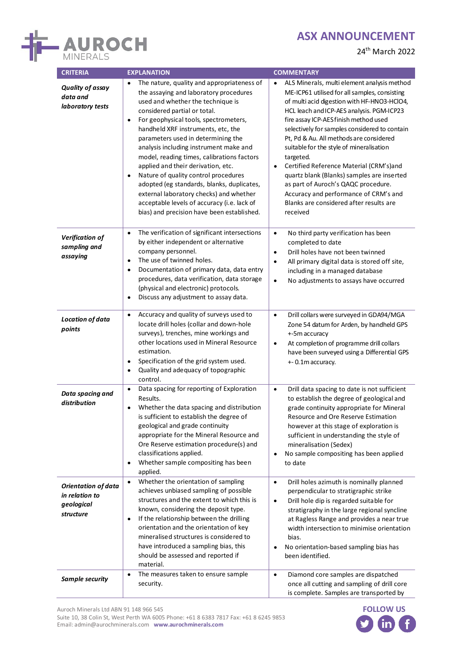

24th March 2022

| <b>CRITERIA</b>                                                         | <b>EXPLANATION</b>                                                                                                                                                                                                                                                                                                                                                                                                                                                                                                                                                                                                                                                   | <b>COMMENTARY</b>                                                                                                                                                                                                                                                                                                                                                                                                                                                                                                                                                                                                      |  |  |
|-------------------------------------------------------------------------|----------------------------------------------------------------------------------------------------------------------------------------------------------------------------------------------------------------------------------------------------------------------------------------------------------------------------------------------------------------------------------------------------------------------------------------------------------------------------------------------------------------------------------------------------------------------------------------------------------------------------------------------------------------------|------------------------------------------------------------------------------------------------------------------------------------------------------------------------------------------------------------------------------------------------------------------------------------------------------------------------------------------------------------------------------------------------------------------------------------------------------------------------------------------------------------------------------------------------------------------------------------------------------------------------|--|--|
| <b>Quality of assay</b><br>data and<br>laboratory tests                 | The nature, quality and appropriateness of<br>the assaying and laboratory procedures<br>used and whether the technique is<br>considered partial or total.<br>For geophysical tools, spectrometers,<br>$\bullet$<br>handheld XRF instruments, etc, the<br>parameters used in determining the<br>analysis including instrument make and<br>model, reading times, calibrations factors<br>applied and their derivation, etc.<br>Nature of quality control procedures<br>$\bullet$<br>adopted (eg standards, blanks, duplicates,<br>external laboratory checks) and whether<br>acceptable levels of accuracy (i.e. lack of<br>bias) and precision have been established. | ALS Minerals, multi element analysis method<br>ME-ICP61 utilised for all samples, consisting<br>of multi acid digestion with HF-HNO3-HClO4,<br>HCL leach and ICP-AES analysis. PGM-ICP23<br>fire assay ICP-AES finish method used<br>selectively for samples considered to contain<br>Pt, Pd & Au. All methods are considered<br>suitable for the style of mineralisation<br>targeted.<br>Certified Reference Material (CRM's)and<br>quartz blank (Blanks) samples are inserted<br>as part of Auroch's QAQC procedure.<br>Accuracy and performance of CRM's and<br>Blanks are considered after results are<br>received |  |  |
| <b>Verification of</b><br>sampling and<br>assaying                      | The verification of significant intersections<br>$\bullet$<br>by either independent or alternative<br>company personnel.<br>The use of twinned holes.<br>$\bullet$<br>Documentation of primary data, data entry<br>$\bullet$<br>procedures, data verification, data storage<br>(physical and electronic) protocols.<br>Discuss any adjustment to assay data.<br>$\bullet$                                                                                                                                                                                                                                                                                            | No third party verification has been<br>$\bullet$<br>completed to date<br>Drill holes have not been twinned<br>$\bullet$<br>All primary digital data is stored off site,<br>$\bullet$<br>including in a managed database<br>No adjustments to assays have occurred<br>$\bullet$                                                                                                                                                                                                                                                                                                                                        |  |  |
| <b>Location of data</b><br>points                                       | Accuracy and quality of surveys used to<br>$\bullet$<br>locate drill holes (collar and down-hole<br>surveys), trenches, mine workings and<br>other locations used in Mineral Resource<br>estimation.<br>Specification of the grid system used.<br>$\bullet$<br>Quality and adequacy of topographic<br>$\bullet$<br>control.                                                                                                                                                                                                                                                                                                                                          | Drill collars were surveyed in GDA94/MGA<br>$\bullet$<br>Zone 54 datum for Arden, by handheld GPS<br>+-5m accuracy<br>At completion of programme drill collars<br>$\bullet$<br>have been surveyed using a Differential GPS<br>+- 0.1m accuracy.                                                                                                                                                                                                                                                                                                                                                                        |  |  |
| Data spacing and<br>distribution                                        | Data spacing for reporting of Exploration<br>$\bullet$<br>Results.<br>Whether the data spacing and distribution<br>$\bullet$<br>is sufficient to establish the degree of<br>geological and grade continuity<br>appropriate for the Mineral Resource and<br>Ore Reserve estimation procedure(s) and<br>classifications applied.<br>Whether sample compositing has been<br>$\bullet$<br>applied.                                                                                                                                                                                                                                                                       | $\bullet$<br>Drill data spacing to date is not sufficient<br>to establish the degree of geological and<br>grade continuity appropriate for Mineral<br>Resource and Ore Reserve Estimation<br>however at this stage of exploration is<br>sufficient in understanding the style of<br>mineralisation (Sedex)<br>No sample compositing has been applied<br>$\bullet$<br>to date                                                                                                                                                                                                                                           |  |  |
| <b>Orientation of data</b><br>in relation to<br>geological<br>structure | Whether the orientation of sampling<br>$\bullet$<br>achieves unbiased sampling of possible<br>structures and the extent to which this is<br>known, considering the deposit type.<br>If the relationship between the drilling<br>$\bullet$<br>orientation and the orientation of key<br>mineralised structures is considered to<br>have introduced a sampling bias, this<br>should be assessed and reported if<br>material.                                                                                                                                                                                                                                           | Drill holes azimuth is nominally planned<br>$\bullet$<br>perpendicular to stratigraphic strike<br>Drill hole dip is regarded suitable for<br>$\bullet$<br>stratigraphy in the large regional syncline<br>at Ragless Range and provides a near true<br>width intersection to minimise orientation<br>bias.<br>No orientation-based sampling bias has<br>been identified.                                                                                                                                                                                                                                                |  |  |
| Sample security                                                         | The measures taken to ensure sample<br>$\bullet$<br>security.                                                                                                                                                                                                                                                                                                                                                                                                                                                                                                                                                                                                        | Diamond core samples are dispatched<br>$\bullet$<br>once all cutting and sampling of drill core<br>is complete. Samples are transported by                                                                                                                                                                                                                                                                                                                                                                                                                                                                             |  |  |

Suite 10, 38 Colin St, West Perth WA 6005 Phone: +61 8 6383 7817 Fax: +61 8 6245 9853 Email: admin@aurochminerals.com **www.aurochminerals.com**

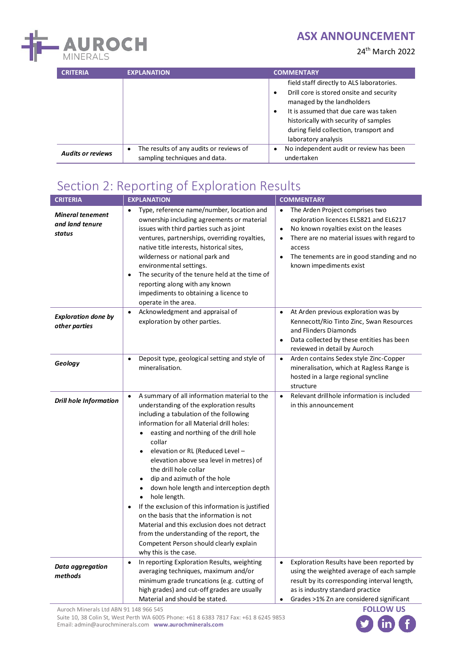

24th March 2022

| <b>CRITERIA</b>          | <b>EXPLANATION</b>                                                            | <b>COMMENTARY</b>                                                                                                                                                                                                                                                                |
|--------------------------|-------------------------------------------------------------------------------|----------------------------------------------------------------------------------------------------------------------------------------------------------------------------------------------------------------------------------------------------------------------------------|
|                          |                                                                               | field staff directly to ALS laboratories.<br>Drill core is stored onsite and security<br>٠<br>managed by the landholders<br>It is assumed that due care was taken<br>٠<br>historically with security of samples<br>during field collection, transport and<br>laboratory analysis |
| <b>Audits or reviews</b> | The results of any audits or reviews of<br>٠<br>sampling techniques and data. | No independent audit or review has been<br>$\bullet$<br>undertaken                                                                                                                                                                                                               |

# Section 2: Reporting of Exploration Results

| <b>CRITERIA</b>                                      | <b>EXPLANATION</b>                                                                                                                                                                                                                                                                                                                                                                                                                                                                                                                                                                                                                                                                                                                 | <b>COMMENTARY</b>                                                                                                                                                                                                                                                                                        |  |  |
|------------------------------------------------------|------------------------------------------------------------------------------------------------------------------------------------------------------------------------------------------------------------------------------------------------------------------------------------------------------------------------------------------------------------------------------------------------------------------------------------------------------------------------------------------------------------------------------------------------------------------------------------------------------------------------------------------------------------------------------------------------------------------------------------|----------------------------------------------------------------------------------------------------------------------------------------------------------------------------------------------------------------------------------------------------------------------------------------------------------|--|--|
| <b>Mineral tenement</b><br>and land tenure<br>status | Type, reference name/number, location and<br>$\bullet$<br>ownership including agreements or material<br>issues with third parties such as joint<br>ventures, partnerships, overriding royalties,<br>native title interests, historical sites,<br>wilderness or national park and<br>environmental settings.<br>The security of the tenure held at the time of<br>$\bullet$<br>reporting along with any known<br>impediments to obtaining a licence to<br>operate in the area.                                                                                                                                                                                                                                                      | The Arden Project comprises two<br>$\bullet$<br>exploration licences EL5821 and EL6217<br>No known royalties exist on the leases<br>$\bullet$<br>There are no material issues with regard to<br>$\bullet$<br>access<br>The tenements are in good standing and no<br>$\bullet$<br>known impediments exist |  |  |
| <b>Exploration done by</b><br>other parties          | Acknowledgment and appraisal of<br>$\bullet$<br>exploration by other parties.                                                                                                                                                                                                                                                                                                                                                                                                                                                                                                                                                                                                                                                      | At Arden previous exploration was by<br>$\bullet$<br>Kennecott/Rio Tinto Zinc, Swan Resources<br>and Flinders Diamonds<br>Data collected by these entities has been<br>$\bullet$<br>reviewed in detail by Auroch                                                                                         |  |  |
| Geology                                              | Deposit type, geological setting and style of<br>mineralisation.                                                                                                                                                                                                                                                                                                                                                                                                                                                                                                                                                                                                                                                                   | Arden contains Sedex style Zinc-Copper<br>$\bullet$<br>mineralisation, which at Ragless Range is<br>hosted in a large regional syncline<br>structure                                                                                                                                                     |  |  |
| <b>Drill hole Information</b>                        | A summary of all information material to the<br>$\bullet$<br>understanding of the exploration results<br>including a tabulation of the following<br>information for all Material drill holes:<br>easting and northing of the drill hole<br>collar<br>elevation or RL (Reduced Level -<br>elevation above sea level in metres) of<br>the drill hole collar<br>dip and azimuth of the hole<br>down hole length and interception depth<br>$\bullet$<br>hole length.<br>If the exclusion of this information is justified<br>on the basis that the information is not<br>Material and this exclusion does not detract<br>from the understanding of the report, the<br>Competent Person should clearly explain<br>why this is the case. | Relevant drillhole information is included<br>$\bullet$<br>in this announcement                                                                                                                                                                                                                          |  |  |
| Data aggregation<br>methods                          | In reporting Exploration Results, weighting<br>$\bullet$<br>averaging techniques, maximum and/or<br>minimum grade truncations (e.g. cutting of<br>high grades) and cut-off grades are usually<br>Material and should be stated.                                                                                                                                                                                                                                                                                                                                                                                                                                                                                                    | Exploration Results have been reported by<br>$\bullet$<br>using the weighted average of each sample<br>result by its corresponding interval length,<br>as is industry standard practice<br>Grades >1% Zn are considered significant<br>$\bullet$                                                         |  |  |

Auroch Minerals Ltd ABN 91 148 966 545

Suite 10, 38 Colin St, West Perth WA 6005 Phone: +61 8 6383 7817 Fax: +61 8 6245 9853 Email: admin@aurochminerals.com **www.aurochminerals.com**